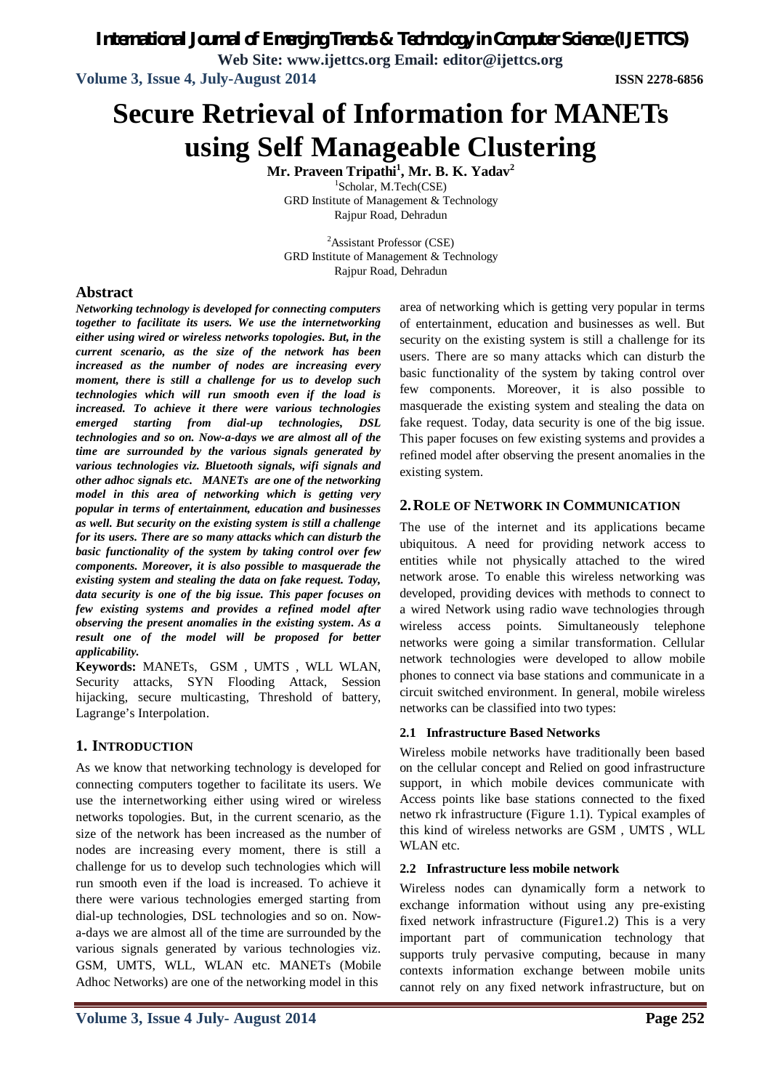*International Journal of Emerging Trends & Technology in Computer Science (IJETTCS)*

**Web Site: www.ijettcs.org Email: editor@ijettcs.org Volume 3, Issue 4, July-August 2014 ISSN 2278-6856**

# **Secure Retrieval of Information for MANETs using Self Manageable Clustering**

**Mr. Praveen Tripathi<sup>1</sup> , Mr. B. K. Yadav<sup>2</sup>** <sup>1</sup>Scholar, M.Tech(CSE) GRD Institute of Management & Technology Rajpur Road, Dehradun

<sup>2</sup>Assistant Professor (CSE) GRD Institute of Management & Technology Rajpur Road, Dehradun

#### **Abstract**

*Networking technology is developed for connecting computers together to facilitate its users. We use the internetworking either using wired or wireless networks topologies. But, in the current scenario, as the size of the network has been increased as the number of nodes are increasing every moment, there is still a challenge for us to develop such technologies which will run smooth even if the load is increased. To achieve it there were various technologies emerged starting from dial-up technologies, DSL technologies and so on. Now-a-days we are almost all of the time are surrounded by the various signals generated by various technologies viz. Bluetooth signals, wifi signals and other adhoc signals etc. MANETs are one of the networking model in this area of networking which is getting very popular in terms of entertainment, education and businesses as well. But security on the existing system is still a challenge for its users. There are so many attacks which can disturb the basic functionality of the system by taking control over few components. Moreover, it is also possible to masquerade the existing system and stealing the data on fake request. Today, data security is one of the big issue. This paper focuses on few existing systems and provides a refined model after observing the present anomalies in the existing system. As a result one of the model will be proposed for better applicability.*

**Keywords:** MANETs, GSM , UMTS , WLL WLAN, Security attacks, SYN Flooding Attack, Session hijacking, secure multicasting, Threshold of battery, Lagrange's Interpolation.

### **1. INTRODUCTION**

As we know that networking technology is developed for connecting computers together to facilitate its users. We use the internetworking either using wired or wireless networks topologies. But, in the current scenario, as the size of the network has been increased as the number of nodes are increasing every moment, there is still a challenge for us to develop such technologies which will run smooth even if the load is increased. To achieve it there were various technologies emerged starting from dial-up technologies, DSL technologies and so on. Nowa-days we are almost all of the time are surrounded by the various signals generated by various technologies viz. GSM, UMTS, WLL, WLAN etc. MANETs (Mobile Adhoc Networks) are one of the networking model in this

area of networking which is getting very popular in terms of entertainment, education and businesses as well. But security on the existing system is still a challenge for its users. There are so many attacks which can disturb the basic functionality of the system by taking control over few components. Moreover, it is also possible to masquerade the existing system and stealing the data on fake request. Today, data security is one of the big issue. This paper focuses on few existing systems and provides a refined model after observing the present anomalies in the existing system.

#### **2.ROLE OF NETWORK IN COMMUNICATION**

The use of the internet and its applications became ubiquitous. A need for providing network access to entities while not physically attached to the wired network arose. To enable this wireless networking was developed, providing devices with methods to connect to a wired Network using radio wave technologies through wireless access points. Simultaneously telephone networks were going a similar transformation. Cellular network technologies were developed to allow mobile phones to connect via base stations and communicate in a circuit switched environment. In general, mobile wireless networks can be classified into two types:

#### **2.1 Infrastructure Based Networks**

Wireless mobile networks have traditionally been based on the cellular concept and Relied on good infrastructure support, in which mobile devices communicate with Access points like base stations connected to the fixed netwo rk infrastructure (Figure 1.1). Typical examples of this kind of wireless networks are GSM , UMTS , WLL WLAN etc.

#### **2.2 Infrastructure less mobile network**

Wireless nodes can dynamically form a network to exchange information without using any pre-existing fixed network infrastructure (Figure1.2) This is a very important part of communication technology that supports truly pervasive computing, because in many contexts information exchange between mobile units cannot rely on any fixed network infrastructure, but on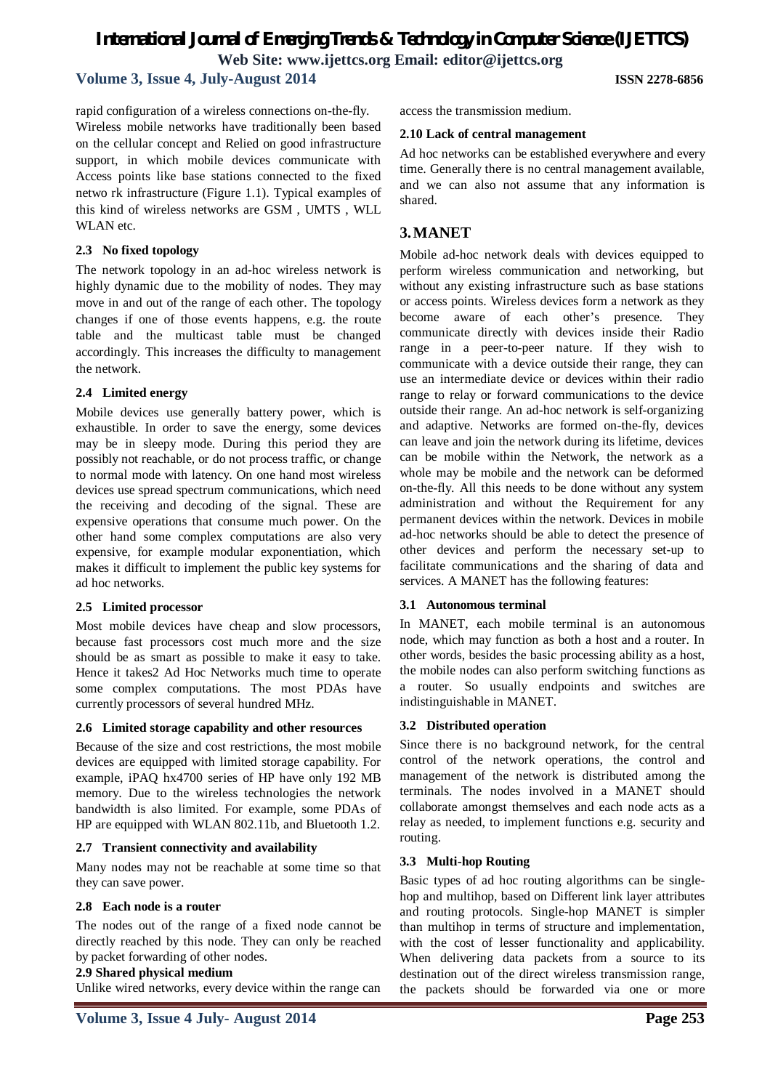access the transmission medium. **2.10 Lack of central management**

#### **Volume 3, Issue 4, July-August 2014 ISSN 2278-6856**

rapid configuration of a wireless connections on-the-fly. Wireless mobile networks have traditionally been based on the cellular concept and Relied on good infrastructure support, in which mobile devices communicate with Access points like base stations connected to the fixed netwo rk infrastructure (Figure 1.1). Typical examples of this kind of wireless networks are GSM , UMTS , WLL WLAN etc.

#### **2.3 No fixed topology**

The network topology in an ad-hoc wireless network is highly dynamic due to the mobility of nodes. They may move in and out of the range of each other. The topology changes if one of those events happens, e.g. the route table and the multicast table must be changed accordingly. This increases the difficulty to management the network.

#### **2.4 Limited energy**

Mobile devices use generally battery power, which is exhaustible. In order to save the energy, some devices may be in sleepy mode. During this period they are possibly not reachable, or do not process traffic, or change to normal mode with latency. On one hand most wireless devices use spread spectrum communications, which need the receiving and decoding of the signal. These are expensive operations that consume much power. On the other hand some complex computations are also very expensive, for example modular exponentiation, which makes it difficult to implement the public key systems for ad hoc networks.

#### **2.5 Limited processor**

Most mobile devices have cheap and slow processors, because fast processors cost much more and the size should be as smart as possible to make it easy to take. Hence it takes2 Ad Hoc Networks much time to operate some complex computations. The most PDAs have currently processors of several hundred MHz.

#### **2.6 Limited storage capability and other resources**

Because of the size and cost restrictions, the most mobile devices are equipped with limited storage capability. For example, iPAQ hx4700 series of HP have only 192 MB memory. Due to the wireless technologies the network bandwidth is also limited. For example, some PDAs of HP are equipped with WLAN 802.11b, and Bluetooth 1.2.

#### **2.7 Transient connectivity and availability**

Many nodes may not be reachable at some time so that they can save power.

#### **2.8 Each node is a router**

The nodes out of the range of a fixed node cannot be directly reached by this node. They can only be reached by packet forwarding of other nodes.

#### **2.9 Shared physical medium**

Unlike wired networks, every device within the range can

shared.

**3.MANET**

perform wireless communication and networking, but without any existing infrastructure such as base stations or access points. Wireless devices form a network as they become aware of each other's presence. They communicate directly with devices inside their Radio range in a peer-to-peer nature. If they wish to communicate with a device outside their range, they can use an intermediate device or devices within their radio range to relay or forward communications to the device outside their range. An ad-hoc network is self-organizing and adaptive. Networks are formed on-the-fly, devices can leave and join the network during its lifetime, devices can be mobile within the Network, the network as a whole may be mobile and the network can be deformed on-the-fly. All this needs to be done without any system administration and without the Requirement for any permanent devices within the network. Devices in mobile ad-hoc networks should be able to detect the presence of other devices and perform the necessary set-up to facilitate communications and the sharing of data and services. A MANET has the following features:

Ad hoc networks can be established everywhere and every time. Generally there is no central management available, and we can also not assume that any information is

Mobile ad-hoc network deals with devices equipped to

#### **3.1 Autonomous terminal**

In MANET, each mobile terminal is an autonomous node, which may function as both a host and a router. In other words, besides the basic processing ability as a host, the mobile nodes can also perform switching functions as a router. So usually endpoints and switches are indistinguishable in MANET.

#### **3.2 Distributed operation**

Since there is no background network, for the central control of the network operations, the control and management of the network is distributed among the terminals. The nodes involved in a MANET should collaborate amongst themselves and each node acts as a relay as needed, to implement functions e.g. security and routing.

#### **3.3 Multi-hop Routing**

Basic types of ad hoc routing algorithms can be singlehop and multihop, based on Different link layer attributes and routing protocols. Single-hop MANET is simpler than multihop in terms of structure and implementation, with the cost of lesser functionality and applicability. When delivering data packets from a source to its destination out of the direct wireless transmission range, the packets should be forwarded via one or more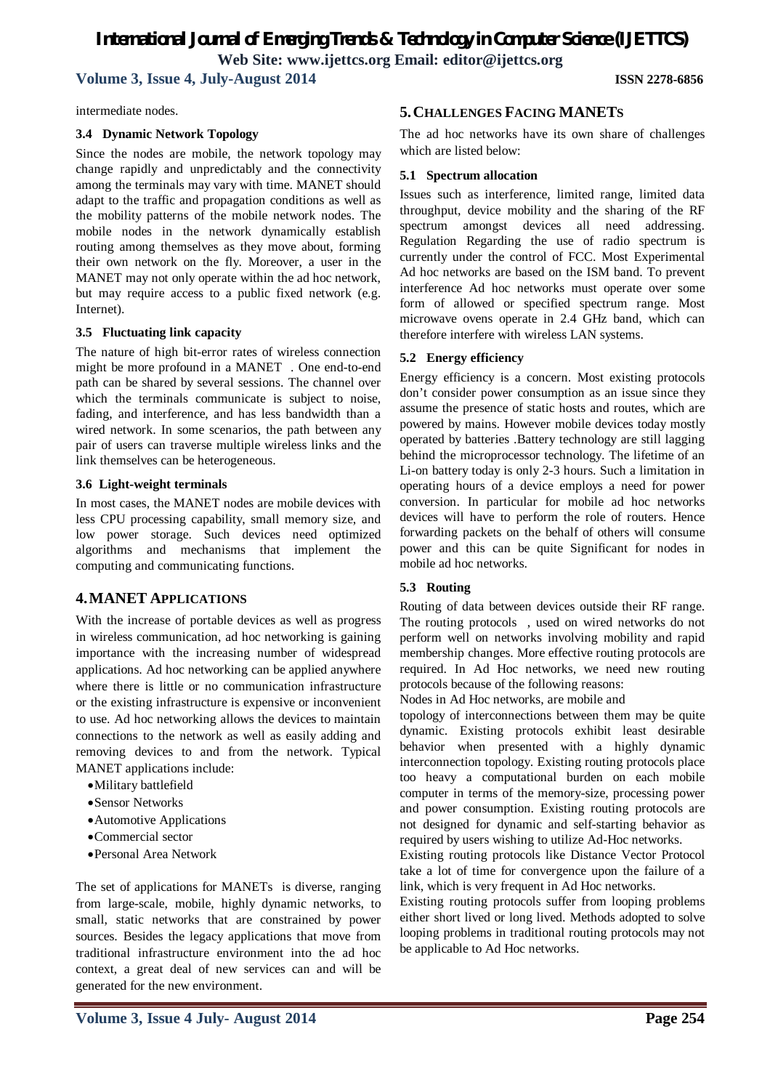**Volume 3, Issue 4, July-August 2014 ISSN 2278-6856**

intermediate nodes.

#### **3.4 Dynamic Network Topology**

Since the nodes are mobile, the network topology may change rapidly and unpredictably and the connectivity among the terminals may vary with time. MANET should adapt to the traffic and propagation conditions as well as the mobility patterns of the mobile network nodes. The mobile nodes in the network dynamically establish routing among themselves as they move about, forming their own network on the fly. Moreover, a user in the MANET may not only operate within the ad hoc network, but may require access to a public fixed network (e.g. Internet).

#### **3.5 Fluctuating link capacity**

The nature of high bit-error rates of wireless connection might be more profound in a MANET . One end-to-end path can be shared by several sessions. The channel over which the terminals communicate is subject to noise, fading, and interference, and has less bandwidth than a wired network. In some scenarios, the path between any pair of users can traverse multiple wireless links and the link themselves can be heterogeneous.

#### **3.6 Light-weight terminals**

In most cases, the MANET nodes are mobile devices with less CPU processing capability, small memory size, and low power storage. Such devices need optimized algorithms and mechanisms that implement the computing and communicating functions.

#### **4.MANET APPLICATIONS**

With the increase of portable devices as well as progress in wireless communication, ad hoc networking is gaining importance with the increasing number of widespread applications. Ad hoc networking can be applied anywhere where there is little or no communication infrastructure or the existing infrastructure is expensive or inconvenient to use. Ad hoc networking allows the devices to maintain connections to the network as well as easily adding and removing devices to and from the network. Typical MANET applications include:

- Military battlefield
- Sensor Networks
- Automotive Applications
- Commercial sector
- Personal Area Network

The set of applications for MANETs is diverse, ranging from large-scale, mobile, highly dynamic networks, to small, static networks that are constrained by power sources. Besides the legacy applications that move from traditional infrastructure environment into the ad hoc context, a great deal of new services can and will be generated for the new environment.

### **5.CHALLENGES FACING MANETS**

The ad hoc networks have its own share of challenges which are listed below:

#### **5.1 Spectrum allocation**

Issues such as interference, limited range, limited data throughput, device mobility and the sharing of the RF spectrum amongst devices all need addressing. Regulation Regarding the use of radio spectrum is currently under the control of FCC. Most Experimental Ad hoc networks are based on the ISM band. To prevent interference Ad hoc networks must operate over some form of allowed or specified spectrum range. Most microwave ovens operate in 2.4 GHz band, which can therefore interfere with wireless LAN systems.

#### **5.2 Energy efficiency**

Energy efficiency is a concern. Most existing protocols don't consider power consumption as an issue since they assume the presence of static hosts and routes, which are powered by mains. However mobile devices today mostly operated by batteries .Battery technology are still lagging behind the microprocessor technology. The lifetime of an Li-on battery today is only 2-3 hours. Such a limitation in operating hours of a device employs a need for power conversion. In particular for mobile ad hoc networks devices will have to perform the role of routers. Hence forwarding packets on the behalf of others will consume power and this can be quite Significant for nodes in mobile ad hoc networks.

#### **5.3 Routing**

Routing of data between devices outside their RF range. The routing protocols , used on wired networks do not perform well on networks involving mobility and rapid membership changes. More effective routing protocols are required. In Ad Hoc networks, we need new routing protocols because of the following reasons:

Nodes in Ad Hoc networks, are mobile and

topology of interconnections between them may be quite dynamic. Existing protocols exhibit least desirable behavior when presented with a highly dynamic interconnection topology. Existing routing protocols place too heavy a computational burden on each mobile computer in terms of the memory-size, processing power and power consumption. Existing routing protocols are not designed for dynamic and self-starting behavior as required by users wishing to utilize Ad-Hoc networks.

Existing routing protocols like Distance Vector Protocol take a lot of time for convergence upon the failure of a link, which is very frequent in Ad Hoc networks.

Existing routing protocols suffer from looping problems either short lived or long lived. Methods adopted to solve looping problems in traditional routing protocols may not be applicable to Ad Hoc networks.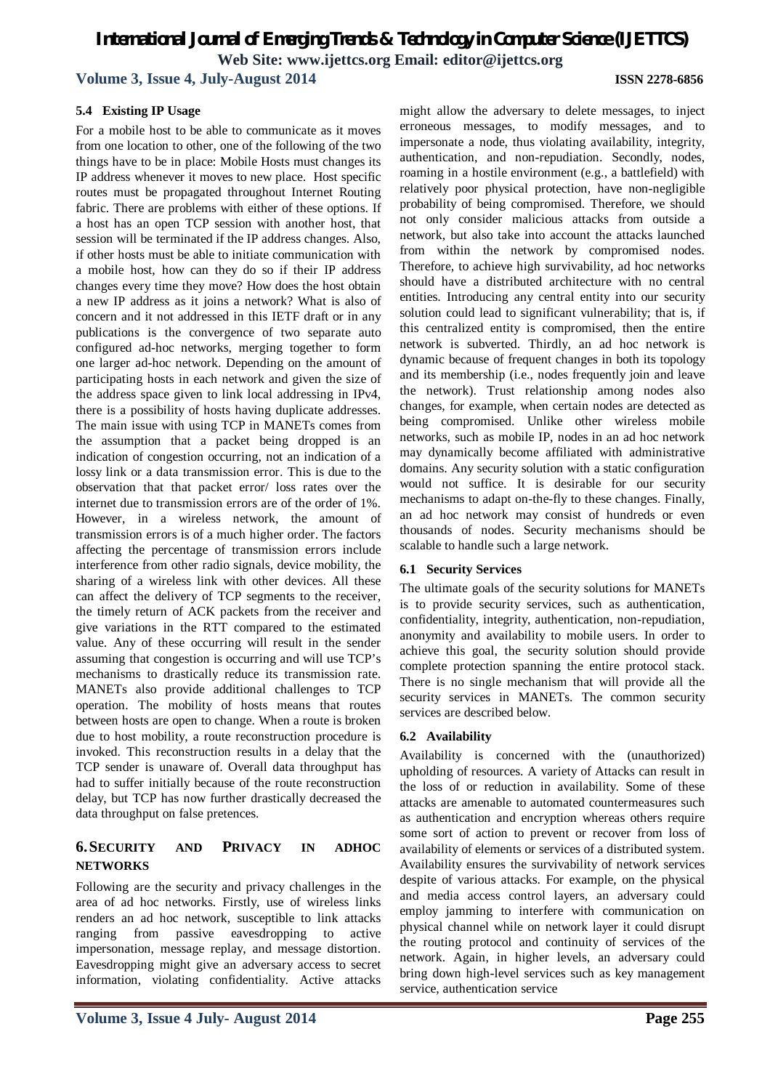**Volume 3, Issue 4, July-August 2014 ISSN 2278-6856**

#### **5.4 Existing IP Usage**

For a mobile host to be able to communicate as it moves from one location to other, one of the following of the two things have to be in place: Mobile Hosts must changes its IP address whenever it moves to new place. Host specific routes must be propagated throughout Internet Routing fabric. There are problems with either of these options. If a host has an open TCP session with another host, that session will be terminated if the IP address changes. Also, if other hosts must be able to initiate communication with a mobile host, how can they do so if their IP address changes every time they move? How does the host obtain a new IP address as it joins a network? What is also of concern and it not addressed in this IETF draft or in any publications is the convergence of two separate auto configured ad-hoc networks, merging together to form one larger ad-hoc network. Depending on the amount of participating hosts in each network and given the size of the address space given to link local addressing in IPv4, there is a possibility of hosts having duplicate addresses. The main issue with using TCP in MANETs comes from the assumption that a packet being dropped is an indication of congestion occurring, not an indication of a lossy link or a data transmission error. This is due to the observation that that packet error/ loss rates over the internet due to transmission errors are of the order of 1%. However, in a wireless network, the amount of transmission errors is of a much higher order. The factors affecting the percentage of transmission errors include interference from other radio signals, device mobility, the sharing of a wireless link with other devices. All these can affect the delivery of TCP segments to the receiver, the timely return of ACK packets from the receiver and give variations in the RTT compared to the estimated value. Any of these occurring will result in the sender assuming that congestion is occurring and will use TCP's mechanisms to drastically reduce its transmission rate. MANETs also provide additional challenges to TCP operation. The mobility of hosts means that routes between hosts are open to change. When a route is broken due to host mobility, a route reconstruction procedure is invoked. This reconstruction results in a delay that the TCP sender is unaware of. Overall data throughput has had to suffer initially because of the route reconstruction delay, but TCP has now further drastically decreased the data throughput on false pretences.

### **6.SECURITY AND PRIVACY IN ADHOC NETWORKS**

Following are the security and privacy challenges in the area of ad hoc networks. Firstly, use of wireless links renders an ad hoc network, susceptible to link attacks ranging from passive eavesdropping to active impersonation, message replay, and message distortion. Eavesdropping might give an adversary access to secret information, violating confidentiality. Active attacks

might allow the adversary to delete messages, to inject erroneous messages, to modify messages, and to impersonate a node, thus violating availability, integrity, authentication, and non-repudiation. Secondly, nodes, roaming in a hostile environment (e.g., a battlefield) with relatively poor physical protection, have non-negligible probability of being compromised. Therefore, we should not only consider malicious attacks from outside a network, but also take into account the attacks launched from within the network by compromised nodes. Therefore, to achieve high survivability, ad hoc networks should have a distributed architecture with no central entities. Introducing any central entity into our security solution could lead to significant vulnerability; that is, if this centralized entity is compromised, then the entire network is subverted. Thirdly, an ad hoc network is dynamic because of frequent changes in both its topology and its membership (i.e., nodes frequently join and leave the network). Trust relationship among nodes also changes, for example, when certain nodes are detected as being compromised. Unlike other wireless mobile networks, such as mobile IP, nodes in an ad hoc network may dynamically become affiliated with administrative domains. Any security solution with a static configuration would not suffice. It is desirable for our security mechanisms to adapt on-the-fly to these changes. Finally, an ad hoc network may consist of hundreds or even thousands of nodes. Security mechanisms should be scalable to handle such a large network.

#### **6.1 Security Services**

The ultimate goals of the security solutions for MANETs is to provide security services, such as authentication, confidentiality, integrity, authentication, non-repudiation, anonymity and availability to mobile users. In order to achieve this goal, the security solution should provide complete protection spanning the entire protocol stack. There is no single mechanism that will provide all the security services in MANETs. The common security services are described below.

#### **6.2 Availability**

Availability is concerned with the (unauthorized) upholding of resources. A variety of Attacks can result in the loss of or reduction in availability. Some of these attacks are amenable to automated countermeasures such as authentication and encryption whereas others require some sort of action to prevent or recover from loss of availability of elements or services of a distributed system. Availability ensures the survivability of network services despite of various attacks. For example, on the physical and media access control layers, an adversary could employ jamming to interfere with communication on physical channel while on network layer it could disrupt the routing protocol and continuity of services of the network. Again, in higher levels, an adversary could bring down high-level services such as key management service, authentication service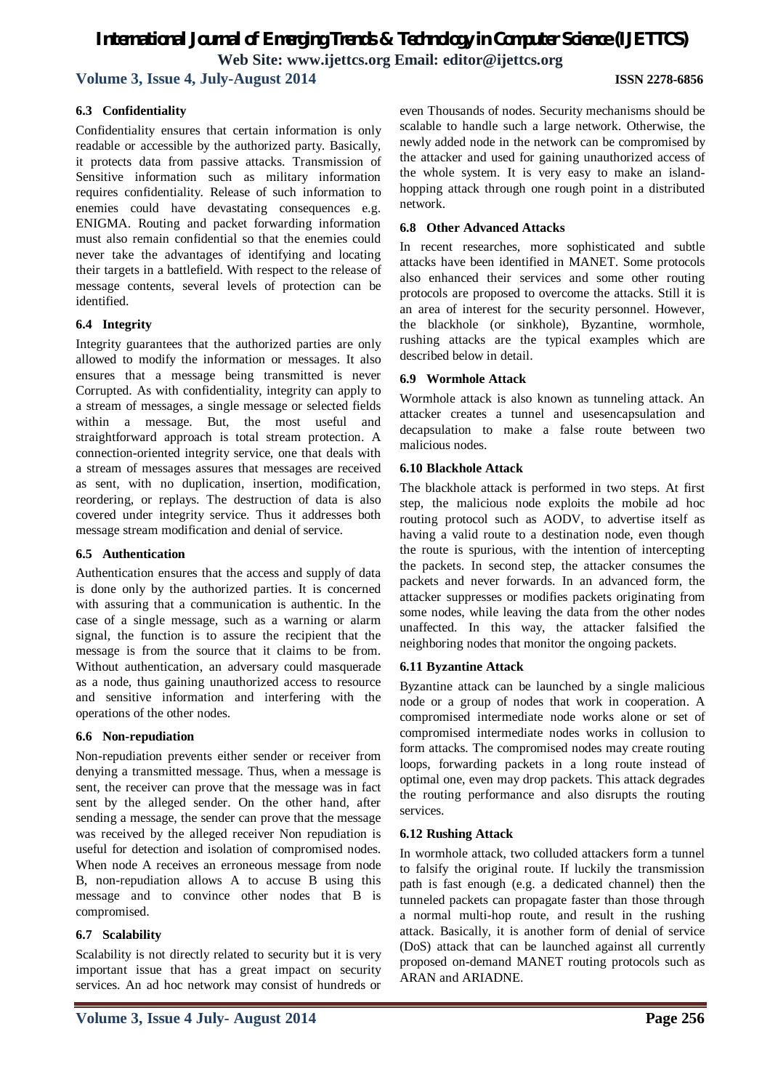**Volume 3, Issue 4, July-August 2014 ISSN 2278-6856**

#### **6.3 Confidentiality**

Confidentiality ensures that certain information is only readable or accessible by the authorized party. Basically, it protects data from passive attacks. Transmission of Sensitive information such as military information requires confidentiality. Release of such information to enemies could have devastating consequences e.g. ENIGMA. Routing and packet forwarding information must also remain confidential so that the enemies could never take the advantages of identifying and locating their targets in a battlefield. With respect to the release of message contents, several levels of protection can be identified.

#### **6.4 Integrity**

Integrity guarantees that the authorized parties are only allowed to modify the information or messages. It also ensures that a message being transmitted is never Corrupted. As with confidentiality, integrity can apply to a stream of messages, a single message or selected fields within a message. But, the most useful and straightforward approach is total stream protection. A connection-oriented integrity service, one that deals with a stream of messages assures that messages are received as sent, with no duplication, insertion, modification, reordering, or replays. The destruction of data is also covered under integrity service. Thus it addresses both message stream modification and denial of service.

#### **6.5 Authentication**

Authentication ensures that the access and supply of data is done only by the authorized parties. It is concerned with assuring that a communication is authentic. In the case of a single message, such as a warning or alarm signal, the function is to assure the recipient that the message is from the source that it claims to be from. Without authentication, an adversary could masquerade as a node, thus gaining unauthorized access to resource and sensitive information and interfering with the operations of the other nodes.

### **6.6 Non-repudiation**

Non-repudiation prevents either sender or receiver from denying a transmitted message. Thus, when a message is sent, the receiver can prove that the message was in fact sent by the alleged sender. On the other hand, after sending a message, the sender can prove that the message was received by the alleged receiver Non repudiation is useful for detection and isolation of compromised nodes. When node A receives an erroneous message from node B, non-repudiation allows A to accuse B using this message and to convince other nodes that B is compromised.

### **6.7 Scalability**

Scalability is not directly related to security but it is very important issue that has a great impact on security services. An ad hoc network may consist of hundreds or even Thousands of nodes. Security mechanisms should be scalable to handle such a large network. Otherwise, the newly added node in the network can be compromised by the attacker and used for gaining unauthorized access of the whole system. It is very easy to make an islandhopping attack through one rough point in a distributed network.

#### **6.8 Other Advanced Attacks**

In recent researches, more sophisticated and subtle attacks have been identified in MANET. Some protocols also enhanced their services and some other routing protocols are proposed to overcome the attacks. Still it is an area of interest for the security personnel. However, the blackhole (or sinkhole), Byzantine, wormhole, rushing attacks are the typical examples which are described below in detail.

#### **6.9 Wormhole Attack**

Wormhole attack is also known as tunneling attack. An attacker creates a tunnel and usesencapsulation and decapsulation to make a false route between two malicious nodes.

#### **6.10 Blackhole Attack**

The blackhole attack is performed in two steps. At first step, the malicious node exploits the mobile ad hoc routing protocol such as AODV, to advertise itself as having a valid route to a destination node, even though the route is spurious, with the intention of intercepting the packets. In second step, the attacker consumes the packets and never forwards. In an advanced form, the attacker suppresses or modifies packets originating from some nodes, while leaving the data from the other nodes unaffected. In this way, the attacker falsified the neighboring nodes that monitor the ongoing packets.

#### **6.11 Byzantine Attack**

Byzantine attack can be launched by a single malicious node or a group of nodes that work in cooperation. A compromised intermediate node works alone or set of compromised intermediate nodes works in collusion to form attacks. The compromised nodes may create routing loops, forwarding packets in a long route instead of optimal one, even may drop packets. This attack degrades the routing performance and also disrupts the routing services.

#### **6.12 Rushing Attack**

In wormhole attack, two colluded attackers form a tunnel to falsify the original route. If luckily the transmission path is fast enough (e.g. a dedicated channel) then the tunneled packets can propagate faster than those through a normal multi-hop route, and result in the rushing attack. Basically, it is another form of denial of service (DoS) attack that can be launched against all currently proposed on-demand MANET routing protocols such as ARAN and ARIADNE.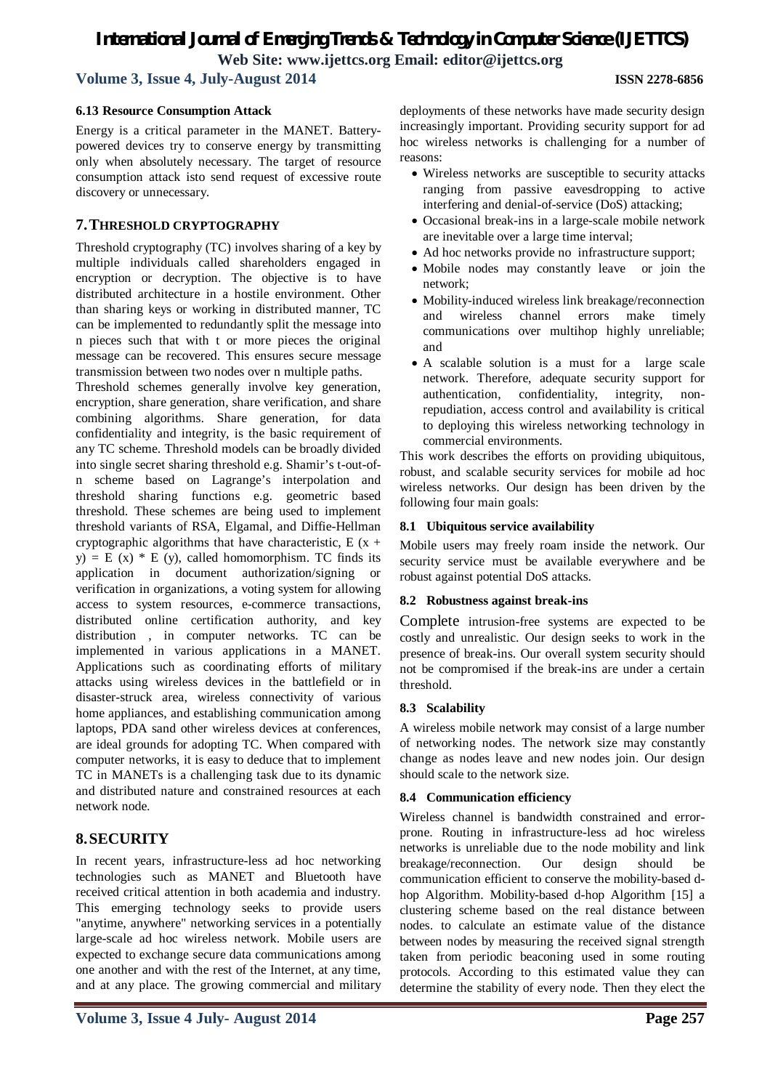**Volume 3, Issue 4, July-August 2014 ISSN 2278-6856**

#### **6.13 Resource Consumption Attack**

Energy is a critical parameter in the MANET. Batterypowered devices try to conserve energy by transmitting only when absolutely necessary. The target of resource consumption attack isto send request of excessive route discovery or unnecessary.

#### **7.THRESHOLD CRYPTOGRAPHY**

Threshold cryptography (TC) involves sharing of a key by multiple individuals called shareholders engaged in encryption or decryption. The objective is to have distributed architecture in a hostile environment. Other than sharing keys or working in distributed manner, TC can be implemented to redundantly split the message into n pieces such that with t or more pieces the original message can be recovered. This ensures secure message transmission between two nodes over n multiple paths.

Threshold schemes generally involve key generation, encryption, share generation, share verification, and share combining algorithms. Share generation, for data confidentiality and integrity, is the basic requirement of any TC scheme. Threshold models can be broadly divided into single secret sharing threshold e.g. Shamir's t-out-ofn scheme based on Lagrange's interpolation and threshold sharing functions e.g. geometric based threshold. These schemes are being used to implement threshold variants of RSA, Elgamal, and Diffie-Hellman cryptographic algorithms that have characteristic,  $E(x +$ y) = E (x)  $*$  E (y), called homomorphism. TC finds its application in document authorization/signing or verification in organizations, a voting system for allowing access to system resources, e-commerce transactions, distributed online certification authority, and key distribution , in computer networks. TC can be implemented in various applications in a MANET. Applications such as coordinating efforts of military attacks using wireless devices in the battlefield or in disaster-struck area, wireless connectivity of various home appliances, and establishing communication among laptops, PDA sand other wireless devices at conferences, are ideal grounds for adopting TC. When compared with computer networks, it is easy to deduce that to implement TC in MANETs is a challenging task due to its dynamic and distributed nature and constrained resources at each network node.

## **8.SECURITY**

In recent years, infrastructure-less ad hoc networking technologies such as MANET and Bluetooth have received critical attention in both academia and industry. This emerging technology seeks to provide users "anytime, anywhere" networking services in a potentially large-scale ad hoc wireless network. Mobile users are expected to exchange secure data communications among one another and with the rest of the Internet, at any time, and at any place. The growing commercial and military

deployments of these networks have made security design increasingly important. Providing security support for ad hoc wireless networks is challenging for a number of reasons:

- Wireless networks are susceptible to security attacks ranging from passive eavesdropping to active interfering and denial-of-service (DoS) attacking;
- Occasional break-ins in a large-scale mobile network are inevitable over a large time interval;
- Ad hoc networks provide no infrastructure support;
- Mobile nodes may constantly leave or join the network;
- Mobility-induced wireless link breakage/reconnection and wireless channel errors make timely communications over multihop highly unreliable; and
- A scalable solution is a must for a large scale network. Therefore, adequate security support for authentication, confidentiality, integrity, nonrepudiation, access control and availability is critical to deploying this wireless networking technology in commercial environments.

This work describes the efforts on providing ubiquitous, robust, and scalable security services for mobile ad hoc wireless networks. Our design has been driven by the following four main goals:

#### **8.1 Ubiquitous service availability**

Mobile users may freely roam inside the network. Our security service must be available everywhere and be robust against potential DoS attacks.

#### **8.2 Robustness against break-ins**

Complete intrusion-free systems are expected to be costly and unrealistic. Our design seeks to work in the presence of break-ins. Our overall system security should not be compromised if the break-ins are under a certain threshold.

#### **8.3 Scalability**

A wireless mobile network may consist of a large number of networking nodes. The network size may constantly change as nodes leave and new nodes join. Our design should scale to the network size.

#### **8.4 Communication efficiency**

Wireless channel is bandwidth constrained and errorprone. Routing in infrastructure-less ad hoc wireless networks is unreliable due to the node mobility and link breakage/reconnection. Our design should be communication efficient to conserve the mobility-based dhop Algorithm. Mobility-based d-hop Algorithm [15] a clustering scheme based on the real distance between nodes. to calculate an estimate value of the distance between nodes by measuring the received signal strength taken from periodic beaconing used in some routing protocols. According to this estimated value they can determine the stability of every node. Then they elect the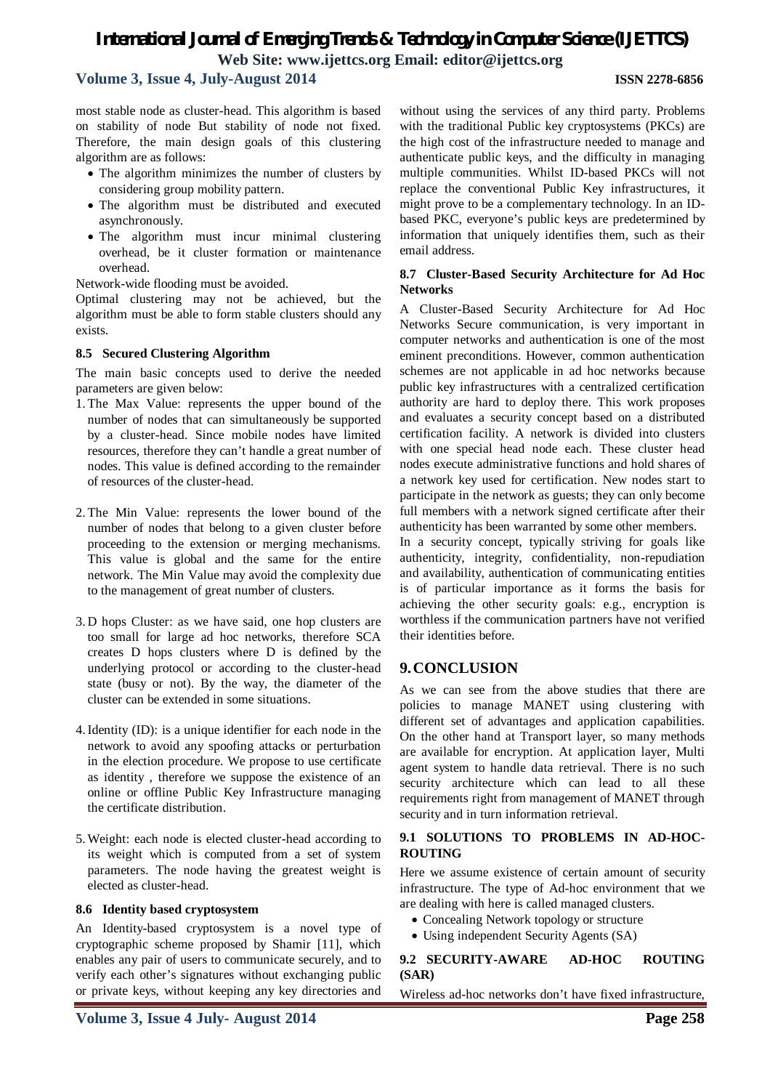#### **Volume 3, Issue 4, July-August 2014 ISSN 2278-6856**

most stable node as cluster-head. This algorithm is based on stability of node But stability of node not fixed. Therefore, the main design goals of this clustering algorithm are as follows:

- The algorithm minimizes the number of clusters by considering group mobility pattern.
- The algorithm must be distributed and executed asynchronously.
- The algorithm must incur minimal clustering overhead, be it cluster formation or maintenance overhead.

Network-wide flooding must be avoided.

Optimal clustering may not be achieved, but the algorithm must be able to form stable clusters should any exists.

#### **8.5 Secured Clustering Algorithm**

The main basic concepts used to derive the needed parameters are given below:

- 1. The Max Value: represents the upper bound of the number of nodes that can simultaneously be supported by a cluster-head. Since mobile nodes have limited resources, therefore they can't handle a great number of nodes. This value is defined according to the remainder of resources of the cluster-head.
- 2. The Min Value: represents the lower bound of the number of nodes that belong to a given cluster before proceeding to the extension or merging mechanisms. This value is global and the same for the entire network. The Min Value may avoid the complexity due to the management of great number of clusters.
- 3. D hops Cluster: as we have said, one hop clusters are too small for large ad hoc networks, therefore SCA creates D hops clusters where D is defined by the underlying protocol or according to the cluster-head state (busy or not). By the way, the diameter of the cluster can be extended in some situations.
- 4.Identity (ID): is a unique identifier for each node in the network to avoid any spoofing attacks or perturbation in the election procedure. We propose to use certificate as identity , therefore we suppose the existence of an online or offline Public Key Infrastructure managing the certificate distribution.
- 5.Weight: each node is elected cluster-head according to its weight which is computed from a set of system parameters. The node having the greatest weight is elected as cluster-head.

#### **8.6 Identity based cryptosystem**

An Identity-based cryptosystem is a novel type of cryptographic scheme proposed by Shamir [11], which enables any pair of users to communicate securely, and to verify each other's signatures without exchanging public or private keys, without keeping any key directories and

without using the services of any third party. Problems with the traditional Public key cryptosystems (PKCs) are the high cost of the infrastructure needed to manage and authenticate public keys, and the difficulty in managing multiple communities. Whilst ID-based PKCs will not replace the conventional Public Key infrastructures, it might prove to be a complementary technology. In an IDbased PKC, everyone's public keys are predetermined by information that uniquely identifies them, such as their email address.

#### **8.7 Cluster-Based Security Architecture for Ad Hoc Networks**

A Cluster-Based Security Architecture for Ad Hoc Networks Secure communication, is very important in computer networks and authentication is one of the most eminent preconditions. However, common authentication schemes are not applicable in ad hoc networks because public key infrastructures with a centralized certification authority are hard to deploy there. This work proposes and evaluates a security concept based on a distributed certification facility. A network is divided into clusters with one special head node each. These cluster head nodes execute administrative functions and hold shares of a network key used for certification. New nodes start to participate in the network as guests; they can only become full members with a network signed certificate after their authenticity has been warranted by some other members.

In a security concept, typically striving for goals like authenticity, integrity, confidentiality, non-repudiation and availability, authentication of communicating entities is of particular importance as it forms the basis for achieving the other security goals: e.g., encryption is worthless if the communication partners have not verified their identities before.

## **9.CONCLUSION**

As we can see from the above studies that there are policies to manage MANET using clustering with different set of advantages and application capabilities. On the other hand at Transport layer, so many methods are available for encryption. At application layer, Multi agent system to handle data retrieval. There is no such security architecture which can lead to all these requirements right from management of MANET through security and in turn information retrieval.

#### **9.1 SOLUTIONS TO PROBLEMS IN AD-HOC-ROUTING**

Here we assume existence of certain amount of security infrastructure. The type of Ad-hoc environment that we are dealing with here is called managed clusters.

- Concealing Network topology or structure
- Using independent Security Agents (SA)

#### **9.2 SECURITY-AWARE AD-HOC ROUTING (SAR)**

Wireless ad-hoc networks don't have fixed infrastructure,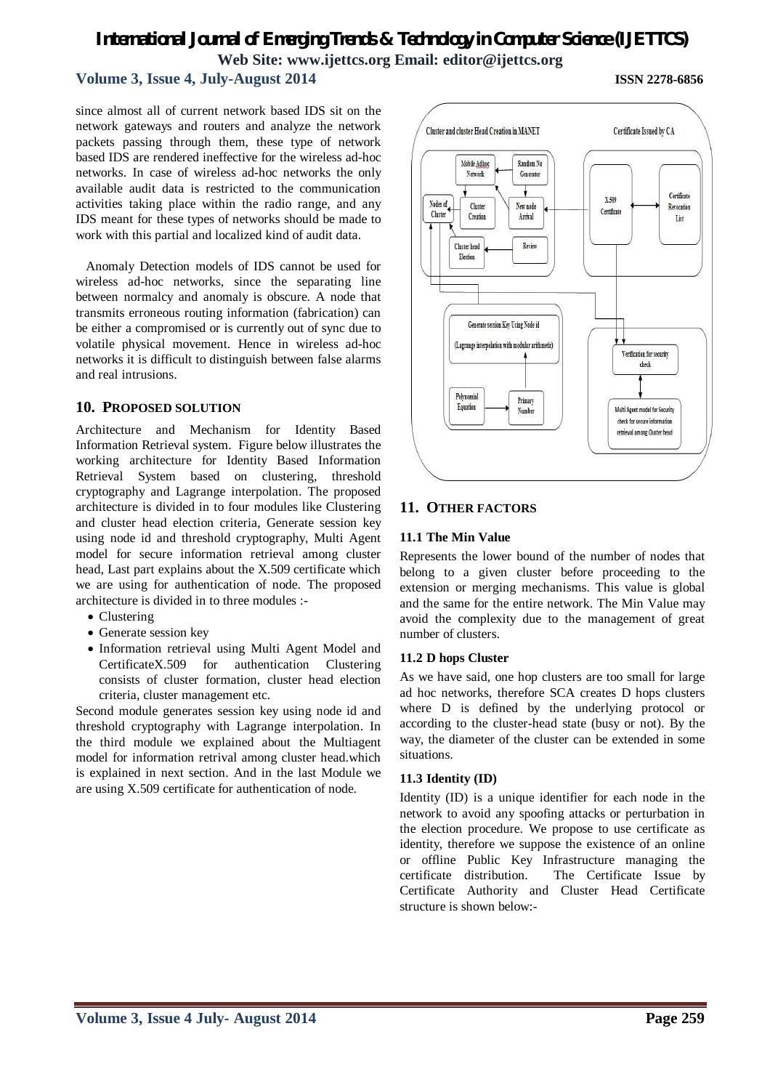#### **Volume 3, Issue 4, July-August 2014 ISSN 2278-6856**

since almost all of current network based IDS sit on the network gateways and routers and analyze the network packets passing through them, these type of network based IDS are rendered ineffective for the wireless ad-hoc networks. In case of wireless ad-hoc networks the only available audit data is restricted to the communication activities taking place within the radio range, and any IDS meant for these types of networks should be made to work with this partial and localized kind of audit data.

 Anomaly Detection models of IDS cannot be used for wireless ad-hoc networks, since the separating line between normalcy and anomaly is obscure. A node that transmits erroneous routing information (fabrication) can be either a compromised or is currently out of sync due to volatile physical movement. Hence in wireless ad-hoc networks it is difficult to distinguish between false alarms and real intrusions.

#### **10. PROPOSED SOLUTION**

Architecture and Mechanism for Identity Based Information Retrieval system. Figure below illustrates the working architecture for Identity Based Information Retrieval System based on clustering, threshold cryptography and Lagrange interpolation. The proposed architecture is divided in to four modules like Clustering and cluster head election criteria, Generate session key using node id and threshold cryptography, Multi Agent model for secure information retrieval among cluster head, Last part explains about the X.509 certificate which we are using for authentication of node. The proposed architecture is divided in to three modules :-

- Clustering
- Generate session key
- Information retrieval using Multi Agent Model and CertificateX.509 for authentication Clustering consists of cluster formation, cluster head election criteria, cluster management etc.

Second module generates session key using node id and threshold cryptography with Lagrange interpolation. In the third module we explained about the Multiagent model for information retrival among cluster head.which is explained in next section. And in the last Module we are using X.509 certificate for authentication of node.



#### **11. OTHER FACTORS**

#### **11.1 The Min Value**

Represents the lower bound of the number of nodes that belong to a given cluster before proceeding to the extension or merging mechanisms. This value is global and the same for the entire network. The Min Value may avoid the complexity due to the management of great number of clusters.

#### **11.2 D hops Cluster**

As we have said, one hop clusters are too small for large ad hoc networks, therefore SCA creates D hops clusters where D is defined by the underlying protocol or according to the cluster-head state (busy or not). By the way, the diameter of the cluster can be extended in some situations.

#### **11.3 Identity (ID)**

Identity (ID) is a unique identifier for each node in the network to avoid any spoofing attacks or perturbation in the election procedure. We propose to use certificate as identity, therefore we suppose the existence of an online or offline Public Key Infrastructure managing the certificate distribution. The Certificate Issue by Certificate Authority and Cluster Head Certificate structure is shown below:-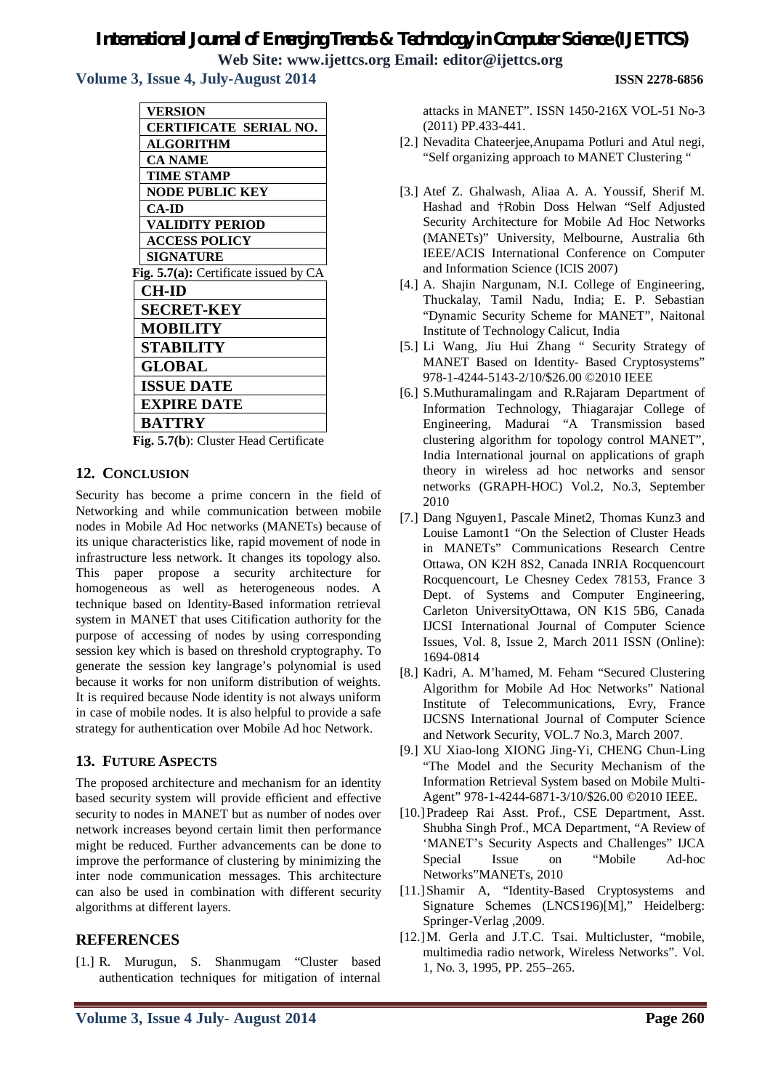**Volume 3, Issue 4, July-August 2014 ISSN 2278-6856**

| VERSION                                                      |                     |
|--------------------------------------------------------------|---------------------|
| <b>CERTIFICATE SERIAL NO.</b>                                |                     |
| <b>ALGORITHM</b>                                             |                     |
| <b>CA NAME</b>                                               |                     |
| <b>TIME STAMP</b>                                            |                     |
| <b>NODE PUBLIC KEY</b>                                       |                     |
| <b>CA-ID</b>                                                 |                     |
| <b>VALIDITY PERIOD</b>                                       |                     |
| <b>ACCESS POLICY</b>                                         |                     |
| <b>SIGNATURE</b>                                             |                     |
| Fig. $5.7(a)$ : Certificate issued by CA                     |                     |
| <b>CH-ID</b>                                                 |                     |
| <b>SECRET-KEY</b>                                            |                     |
| <b>MOBILITY</b>                                              |                     |
| <b>STABILITY</b>                                             |                     |
| <b>GLOBAL</b>                                                |                     |
| <b>ISSUE DATE</b>                                            |                     |
| <b>EXPIRE DATE</b>                                           |                     |
| <b>BATTRY</b>                                                |                     |
| <b>The Common</b><br>$F = \left(1 \right)$ $\left(1 \right)$ | $T$ $T$ $T$ $T$ $T$ |

**Fig. 5.7(b**): Cluster Head Certificate

#### **12. CONCLUSION**

Security has become a prime concern in the field of Networking and while communication between mobile nodes in Mobile Ad Hoc networks (MANETs) because of its unique characteristics like, rapid movement of node in infrastructure less network. It changes its topology also. This paper propose a security architecture for homogeneous as well as heterogeneous nodes. A technique based on Identity-Based information retrieval system in MANET that uses Citification authority for the purpose of accessing of nodes by using corresponding session key which is based on threshold cryptography. To generate the session key langrage's polynomial is used because it works for non uniform distribution of weights. It is required because Node identity is not always uniform in case of mobile nodes. It is also helpful to provide a safe strategy for authentication over Mobile Ad hoc Network.

### **13. FUTURE ASPECTS**

The proposed architecture and mechanism for an identity based security system will provide efficient and effective security to nodes in MANET but as number of nodes over network increases beyond certain limit then performance might be reduced. Further advancements can be done to improve the performance of clustering by minimizing the inter node communication messages. This architecture can also be used in combination with different security algorithms at different layers.

### **REFERENCES**

[1.] R. Murugun, S. Shanmugam "Cluster based authentication techniques for mitigation of internal attacks in MANET". ISSN 1450-216X VOL-51 No-3 (2011) PP.433-441.

- [2.] Nevadita Chateerjee,Anupama Potluri and Atul negi, "Self organizing approach to MANET Clustering "
- [3.] Atef Z. Ghalwash, Aliaa A. A. Youssif, Sherif M. Hashad and †Robin Doss Helwan "Self Adjusted Security Architecture for Mobile Ad Hoc Networks (MANETs)" University, Melbourne, Australia 6th IEEE/ACIS International Conference on Computer and Information Science (ICIS 2007)
- [4.] A. Shajin Nargunam, N.I. College of Engineering, Thuckalay, Tamil Nadu, India; E. P. Sebastian "Dynamic Security Scheme for MANET", Naitonal Institute of Technology Calicut, India
- [5.] Li Wang, Jiu Hui Zhang " Security Strategy of MANET Based on Identity- Based Cryptosystems" 978-1-4244-5143-2/10/\$26.00 ©2010 IEEE
- [6.] S.Muthuramalingam and R.Rajaram Department of Information Technology, Thiagarajar College of Engineering, Madurai "A Transmission based clustering algorithm for topology control MANET", India International journal on applications of graph theory in wireless ad hoc networks and sensor networks (GRAPH-HOC) Vol.2, No.3, September 2010
- [7.] Dang Nguyen1, Pascale Minet2, Thomas Kunz3 and Louise Lamont1 "On the Selection of Cluster Heads in MANETs" Communications Research Centre Ottawa, ON K2H 8S2, Canada INRIA Rocquencourt Rocquencourt, Le Chesney Cedex 78153, France 3 Dept. of Systems and Computer Engineering, Carleton UniversityOttawa, ON K1S 5B6, Canada IJCSI International Journal of Computer Science Issues, Vol. 8, Issue 2, March 2011 ISSN (Online): 1694-0814
- [8.] Kadri, A. M'hamed, M. Feham "Secured Clustering Algorithm for Mobile Ad Hoc Networks" National Institute of Telecommunications, Evry, France IJCSNS International Journal of Computer Science and Network Security, VOL.7 No.3, March 2007.
- [9.] XU Xiao-long XIONG Jing-Yi, CHENG Chun-Ling "The Model and the Security Mechanism of the Information Retrieval System based on Mobile Multi-Agent" 978-1-4244-6871-3/10/\$26.00 ©2010 IEEE.
- [10.]Pradeep Rai Asst. Prof., CSE Department, Asst. Shubha Singh Prof., MCA Department, "A Review of 'MANET's Security Aspects and Challenges" IJCA Special Issue on "Mobile Ad-hoc Networks"MANETs, 2010
- [11.]Shamir A, "Identity-Based Cryptosystems and Signature Schemes (LNCS196)[M]," Heidelberg: Springer-Verlag ,2009.
- [12.]M. Gerla and J.T.C. Tsai. Multicluster, "mobile, multimedia radio network, Wireless Networks". Vol. 1, No. 3, 1995, PP. 255–265.